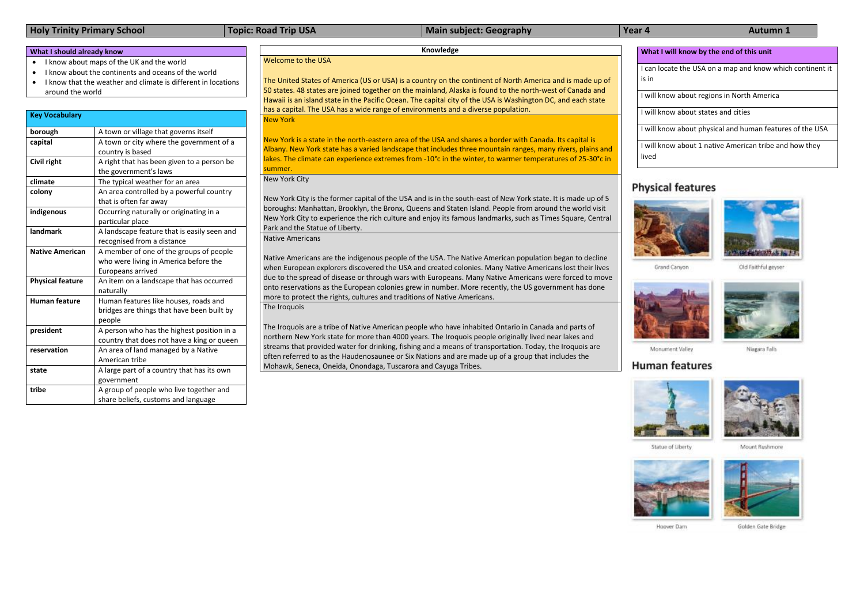# **Holy Trinity Primary School Topic: Road Trip USA Main subject: Geography Year 4 Autumn 1**

# **What I should already know**

- I know about maps of the UK and the world
- I know about the continents and oceans of the world
- I know that the weather and climate is different in locations around the world

**What I will know by the end of this unit**

I can locate the USA on a map and know which continent it is in

I will know about regions in North America

I will know about states and cities

I will know about physical and human features of the USA



Grand Cariyon



Old Faithful geyser



Monument Valley

# **Human features**



Niagara Falls



Statue of Liberty





Hoover Dam

Golden Gate Bridge

I will know about 1 native American tribe and how they lived

# **Physical features**



## **Knowledge**

Welcome to the USA

The United States of America (US or USA) is a country on the continent of North America and is made up of 50 states. 48 states are joined together on the mainland, Alaska is found to the north-west of Canada and Hawaii is an island state in the Pacific Ocean. The capital city of the USA is Washington DC, and each state has a capital. The USA has a wide range of environments and a diverse population.

New York

New York is a state in the north-eastern area of the USA and shares a border with Canada. Its capital is Albany. New York state has a varied landscape that includes three mountain ranges, many rivers, plains and lakes. The climate can experience extremes from -10°c in the winter, to warmer temperatures of 25-30°c in summer.

New York City

New York City is the former capital of the USA and is in the south-east of New York state. It is made up of 5 boroughs: Manhattan, Brooklyn, the Bronx, Queens and Staten Island. People from around the world visit New York City to experience the rich culture and enjoy its famous landmarks, such as Times Square, Central Park and the Statue of Liberty.

Native Americans

Native Americans are the indigenous people of the USA. The Native American population began to decline when European explorers discovered the USA and created colonies. Many Native Americans lost their lives due to the spread of disease or through wars with Europeans. Many Native Americans were forced to move onto reservations as the European colonies grew in number. More recently, the US government has done more to protect the rights, cultures and traditions of Native Americans.

The Iroquois

The Iroquois are a tribe of Native American people who have inhabited Ontario in Canada and parts of northern New York state for more than 4000 years. The Iroquois people originally lived near lakes and streams that provided water for drinking, fishing and a means of transportation. Today, the Iroquois are often referred to as the Haudenosaunee or Six Nations and are made up of a group that includes the Mohawk, Seneca, Oneida, Onondaga, Tuscarora and Cayuga Tribes.









| <b>Key Vocabulary</b>   |                                             |
|-------------------------|---------------------------------------------|
| borough                 | A town or village that governs itself       |
| capital                 | A town or city where the government of a    |
|                         | country is based                            |
| Civil right             | A right that has been given to a person be  |
|                         | the government's laws                       |
| climate                 | The typical weather for an area             |
| colony                  | An area controlled by a powerful country    |
|                         | that is often far away                      |
| indigenous              | Occurring naturally or originating in a     |
|                         | particular place                            |
| landmark                | A landscape feature that is easily seen and |
|                         | recognised from a distance                  |
| <b>Native American</b>  | A member of one of the groups of people     |
|                         | who were living in America before the       |
|                         | Europeans arrived                           |
| <b>Physical feature</b> | An item on a landscape that has occurred    |
|                         | naturally                                   |
| <b>Human feature</b>    | Human features like houses, roads and       |
|                         | bridges are things that have been built by  |
|                         | people                                      |
| president               | A person who has the highest position in a  |
|                         | country that does not have a king or queen  |
| reservation             | An area of land managed by a Native         |
|                         | American tribe                              |
| state                   | A large part of a country that has its own  |
|                         | government                                  |
| tribe                   | A group of people who live together and     |
|                         | share beliefs, customs and language         |